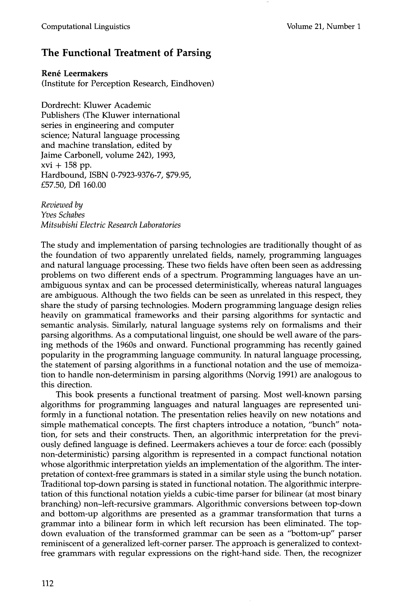## **The Functional Treatment of Parsing**

**Ren6 Leermakers** 

(Institute for Perception Research, Eindhoven)

Dordrecht: Kluwer Academic Publishers (The Kluwer international series in engineering and computer science; Natural language processing and machine translation, edited by Jaime Carbonell, volume 242), 1993, xvi + 158 pp. Hardbound, ISBN 0-7923-9376-7, \$79.95, £57.50, Dfl 160.00

*Reviewed by Yves Schabes Mitsubishi Electric Research Laboratories* 

The study and implementation of parsing technologies are traditionally thought of as the foundation of two apparently unrelated fields, namely, programming languages and natural language processing. These two fields have often been seen as addressing problems on two different ends of a spectrum. Programming languages have an unambiguous syntax and can be processed deterministically, whereas natural languages are ambiguous. Although the two fields can be seen as unrelated in this respect, they share the study of parsing technologies. Modern programming language design relies heavily on grammatical frameworks and their parsing algorithms for syntactic and semantic analysis. Similarly, natural language systems rely on formalisms and their parsing algorithms. As a computational linguist, one should be well aware of the parsing methods of the 1960s and onward. Functional programming has recently gained popularity in the programming language community. In natural language processing, the statement of parsing algorithms in a functional notation and the use of memoization to handle non-determinism in parsing algorithms (Norvig 1991) are analogous to this direction.

This book presents a functional treatment of parsing. Most well-known parsing algorithms for programming languages and natural languages are represented uniformly in a functional notation. The presentation relies heavily on new notations and simple mathematical concepts. The first chapters introduce a notation, "bunch" notation, for sets and their constructs. Then, an algorithmic interpretation for the previously defined language is defined. Leermakers achieves a tour de force: each (possibly non-deterministic) parsing algorithm is represented in a compact functional notation whose algorithmic interpretation yields an implementation of the algorithm. The interpretation of context-free grammars is stated in a similar style using the bunch notation. Traditional top-down parsing is stated in functional notation. The algorithmic interpretation of this functional notation yields a cubic-time parser for bilinear (at most binary branching) non-left-recursive grammars. Algorithmic conversions between top-down and bottom-up algorithms are presented as a grammar transformation that turns a grammar into a bilinear form in which left recursion has been eliminated. The topdown evaluation of the transformed grammar can be seen as a "bottom-up" parser reminiscent of a generalized left-corner parser. The approach is generalized to contextfree grammars with regular expressions on the right-hand side. Then, the recognizer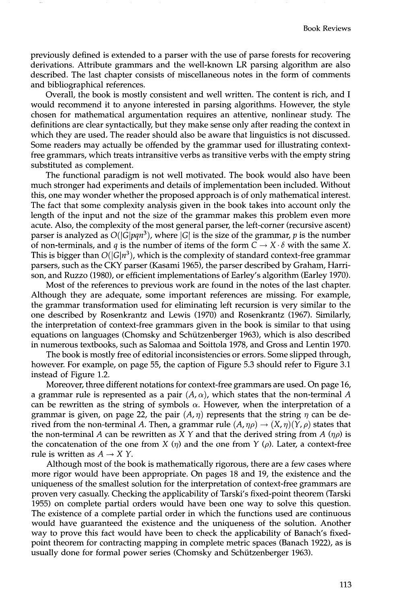previously defined is extended to a parser with the use of parse forests for recovering derivations. Attribute grammars and the well-known LR parsing algorithm are also described. The last chapter consists of miscellaneous notes in the form of comments and bibliographical references.

Overall, the book is mostly consistent and well written. The content is rich, and I would recommend it to anyone interested in parsing algorithms. However, the style chosen for mathematical argumentation requires an attentive, nonlinear study. The definitions are clear syntactically, but they make sense only after reading the context in which they are used, The reader should also be aware that linguistics is not discussed. Some readers may actually be offended by the grammar used for illustrating contextfree grammars, which treats intransitive verbs as transitive verbs with the empty string substituted as complement.

The functional paradigm is not well motivated. The book would also have been much stronger had experiments and details of implementation been included. Without this, one may wonder whether the proposed approach is of only mathematical interest. The fact that some complexity analysis given in the book takes into account only the length of the input and not the size of the grammar makes this problem even more acute. Also, the complexity of the most general parser, the left-corner (recursive ascent) parser is analyzed as  $O(|G|pqn^3)$ , where  $|G|$  is the size of the grammar, p is the number of non-terminals, and q is the number of items of the form  $C \to X \cdot \delta$  with the same X. This is bigger than  $O(|G|n^3)$ , which is the complexity of standard context-free grammar parsers, such as the CKY parser (Kasami 1965), the parser described by Graham, Harrison, and Ruzzo (1980), or efficient implementations of Earley's algorithm (Earley 1970).

Most of the references to previous work are found in the notes of the last chapter. Although they are adequate, some important references are missing. For example, the grammar transformation used for eliminating left recursion is very similar to the one described by Rosenkrantz and Lewis (1970) and Rosenkrantz (1967). Similarly, the interpretation of context-free grammars given in the book is similar to that using equations on languages (Chomsky and Schützenberger 1963), which is also described in numerous textbooks, such as Salomaa and Soittola 1978, and Gross and Lentin 1970.

The book is mostly free of editorial inconsistencies or errors. Some slipped through, however. For example, on page 55, the caption of Figure 5.3 should refer to Figure 3.1 instead of Figure 1.2.

Moreover, three different notations for context-free grammars are used. On page 16, a grammar rule is represented as a pair  $(A, \alpha)$ , which states that the non-terminal A can be rewritten as the string of symbols  $\alpha$ . However, when the interpretation of a grammar is given, on page 22, the pair  $(A, \eta)$  represents that the string  $\eta$  can be derived from the non-terminal A. Then, a grammar rule  $(A, \eta \rho) \rightarrow (X, \eta)(Y, \rho)$  states that the non-terminal A can be rewritten as X Y and that the derived string from A  $(\eta \rho)$  is the concatenation of the one from  $X(\eta)$  and the one from  $Y(\rho)$ . Later, a context-free rule is written as  $A \rightarrow X Y$ .

Although most of the book is mathematically rigorous, there are a few cases where more rigor would have been appropriate. On pages 18 and 19, the existence and the uniqueness of the smallest solution for the interpretation of context-free grammars are proven very casually. Checking the applicability of Tarski's fixed-point theorem (Tarski 1955) on complete partial orders would have been one way to solve this question. The existence of a complete partial order in which the functions used are continuous would have guaranteed the existence and the uniqueness of the solution. Another way to prove this fact would have been to check the applicability of Banach's fixedpoint theorem for contracting mapping in complete metric spaces (Banach 1922), as is usually done for formal power series (Chomsky and Schützenberger 1963).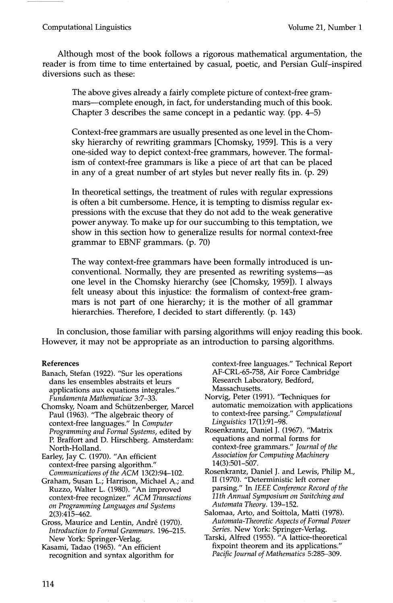## Computational Linguistics Volume 21, Number 1

Although most of the book follows a rigorous mathematical argumentation, the reader is from time to time entertained by casual, poetic, and Persian Gulf-inspired diversions such as these:

The above gives already a fairly complete picture of context-free grammars—complete enough, in fact, for understanding much of this book. Chapter 3 describes the same concept in a pedantic way. (pp. 4-5)

Context-free grammars are usually presented as one level in the Chomsky hierarchy of rewriting grammars [Chomsky, 1959]. This is a very one-sided way to depict context-free grammars, however. The formalism of context-free grammars is like a piece of art that can be placed in any of a great number of art styles but never really fits in. (p. 29)

In theoretical settings, the treatment of rules with regular expressions is often a bit cumbersome. Hence, it is tempting to dismiss regular expressions with the excuse that they do not add to the weak generative power anyway. To make up for our succumbing to this temptation, we show in this section how to generalize results for normal context-free grammar to EBNF grammars. (p. 70)

The way context-free grammars have been formally introduced is unconventional. Normally, they are presented as rewriting systems-as one level in the Chomsky hierarchy (see [Chomsky, 1959]). I always felt uneasy about this injustice: the formalism of context-free grammars is not part of one hierarchy; it is the mother of all grammar hierarchies. Therefore, I decided to start differently. (p. 143)

In conclusion, those familiar with parsing algorithms will enjoy reading this book. However, it may not be appropriate as an introduction to parsing algorithms.

## **References**

- Banach, Stefan (1922). "Sur les operations dans les ensembles abstraits et leurs applications aux equations integrales." *Fundamenta Mathematicae* 3:7-33.
- Chomsky, Noam and Schiitzenberger, Marcel Paul (1963). "The algebraic theory of context-free languages." In *Computer Programming and Formal Systems,* edited by P. Braffort and D. Hirschberg. Amsterdam: North-Holland.

Earley, Jay C. (1970). "An efficient context-free parsing algorithm." *Communications of the ACM* 13(2):94-102.

Graham, Susan L.; Harrison, Michael A.; and Ruzzo, Walter L. (1980). "An improved context-free recognizer." *ACM Transactions on Programming Languages and Systems*  2(3):415-462.

Gross, Maurice and Lentin, André (1970). *Introduction to Formal Grammars.* 196-215. New York: Springer-Verlag.

Kasami, Tadao (1965). "An efficient recognition and syntax algorithm for context-free languages." Technical Report AF-CRL-65-758, Air Force Cambridge Research Laboratory, Bedford, Massachusetts.

Norvig, Peter (1991). "Techniques for automatic memoization with applications to context-free parsing." *Computational Linguistics* 17(1):91-98.

Rosenkrantz, Daniel J. (1967). "Matrix equations and normal forms for context-free grammars." *Journal of the Association for Computing Machinery*  14(3):501-507.

Rosenkrantz, Daniel J. and Lewis, Philip M., II (1970). "Deterministic left corner parsing." In *IEEE Conference Record of the 11th Annual Symposium on Switching and Automata Theory.* 139-152.

Salomaa, Arto, and Soittola, Matti (1978). *Automata-Theoretic Aspects of Formal Power Series.* New York: Springer-Verlag.

Tarski, Alfred (1955). "A lattice-theoretical fixpoint theorem and its applications." *Pacific Journal of Mathematics* 5:285-309.